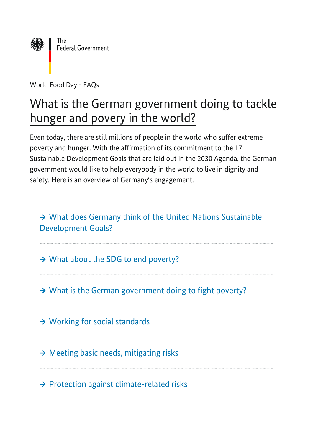

World Food Day - FAQs

# What is the German government doing to tackle hunger and povery in the world?

Even today, there are still millions of people in the world who suffer extreme poverty and hunger. With the affirmation of its commitment to the 17 Sustainable Development Goals that are laid out in the 2030 Agenda, the German government would like to help everybody in the world to live in dignity and safety. Here is an overview of Germany's engagement.

→ [What does Germany think of the United Nations Sustainable](#page-1-0) [Development Goals?](#page-1-0)

→ What about the SDG to end poverty?

 $\rightarrow$  [What is the German government doing to fight poverty?](#page-3-0)

 $\rightarrow$  [Working for social standards](#page-3-1)

 $\rightarrow$  [Meeting basic needs, mitigating risks](#page-4-0)

 $\rightarrow$  [Protection against climate-related risks](#page-4-1)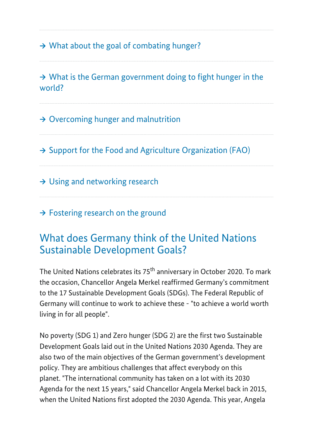$\rightarrow$  What about the goal of combating hunger?

 $\rightarrow$  [What is the German government doing to fight hunger in the](#page-6-0) [world?](#page-6-0) 

 $\rightarrow$  [Overcoming hunger and malnutrition](#page-6-1)

 $\rightarrow$  [Support for the Food and Agriculture Organization \(FAO\)](#page-6-2)

 $\rightarrow$  [Using and networking research](#page-7-0)

 $\rightarrow$  [Fostering research on the ground](#page-7-1)

#### <span id="page-1-0"></span>What does Germany think of the United Nations Sustainable Development Goals?

The United Nations celebrates its 75<sup>th</sup> anniversary in October 2020. To mark the occasion, Chancellor Angela Merkel reaffirmed Germany's commitment to the 17 Sustainable Development Goals (SDGs). The Federal Republic of Germany will continue to work to achieve these - "to achieve a world worth living in for all people".

No poverty (SDG 1) and Zero hunger (SDG 2) are the first two Sustainable Development Goals laid out in the United Nations 2030 Agenda. They are also two of the main objectives of the German government's development policy. They are ambitious challenges that affect everybody on this planet. "The international community has taken on a lot with its 2030 Agenda for the next 15 years," said Chancellor Angela Merkel back in 2015, when the United Nations first adopted the 2030 Agenda. This year, Angela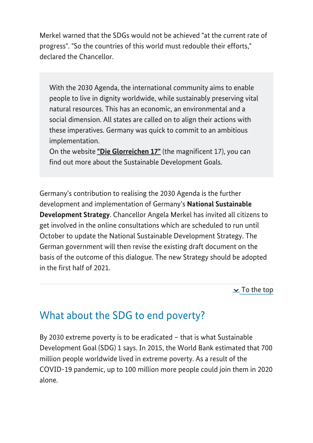Merkel warned that the SDGs would not be achieved "at the current rate of progress". "So the countries of this world must redouble their efforts," declared the Chancellor.

With the 2030 Agenda, the international community aims to enable people to live in dignity worldwide, while sustainably preserving vital natural resources. This has an economic, an environmental and a social dimension. All states are called on to align their actions with these imperatives. Germany was quick to commit to an ambitious implementation.

On the website **"Die Glorreichen 17"** (the magnificent 17), you can find out more about the Sustainable Development Goals.

Germany's contribution to realising the 2030 Agenda is the further development and implementation of Germany's **National Sustainable Development Strategy**. Chancellor Angela Merkel has invited all citizens to get involved in the online consultations which are scheduled to run until October to update the National Sustainable Development Strategy. The German government will then revise the existing draft document on the basis of the outcome of this dialogue. The new Strategy should be adopted in the first half of 2021.

 $\geq$  To the top

#### <span id="page-2-0"></span>What about the SDG to end poverty?

By 2030 extreme poverty is to be eradicated – that is what Sustainable Development Goal (SDG) 1 says. In 2015, the World Bank estimated that 700 million people worldwide lived in extreme poverty. As a result of the COVID-19 pandemic, up to 100 million more people could join them in 2020 alone.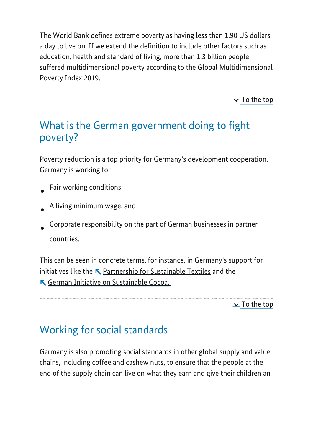The World Bank defines extreme poverty as having less than 1.90 US dollars a day to live on. If we extend the definition to include other factors such as education, health and standard of living, more than 1.3 billion people suffered multidimensional poverty according to the Global Multidimensional Poverty Index 2019.

 $\mathbf{\underline{\times}}$  To the top

### <span id="page-3-0"></span>What is the German government doing to fight poverty?

Poverty reduction is a top priority for Germany's development cooperation. Germany is working for

- Fair working conditions
- A living minimum wage, and
- Corporate responsibility on the part of German businesses in partner countries.

This can be seen in concrete terms, for instance, in Germany's support for initiatives like the  $\blacktriangle$  <u>[Partnership for Sustainable Textiles](https://www.textilbuendnis.com/en/)</u> and the [German Initiative on Sustainable Cocoa.](https://www.kakaoforum.de/en/) 

 $\geq$  To the top

# <span id="page-3-1"></span>Working for social standards

Germany is also promoting social standards in other global supply and value chains, including coffee and cashew nuts, to ensure that the people at the end of the supply chain can live on what they earn and give their children an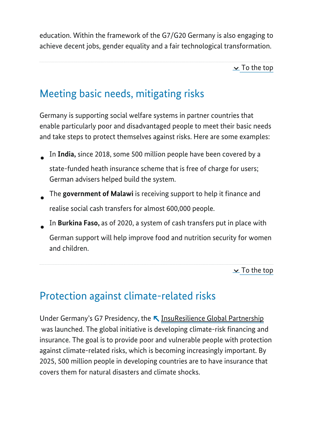education. Within the framework of the G7/G20 Germany is also engaging to achieve decent jobs, gender equality and a fair technological transformation.

 $\ge$  To the top

# <span id="page-4-0"></span>Meeting basic needs, mitigating risks

Germany is supporting social welfare systems in partner countries that enable particularly poor and disadvantaged people to meet their basic needs and take steps to protect themselves against risks. Here are some examples:

- In **India,** since 2018, some 500 million people have been covered by a state-funded heath insurance scheme that is free of charge for users; German advisers helped build the system.
- The **government of Malawi** is receiving support to help it finance and realise social cash transfers for almost 600,000 people.
- In **Burkina Faso,** as of 2020, a system of cash transfers put in place with German support will help improve food and nutrition security for women and children.

 $\ge$  To the top

# <span id="page-4-1"></span>Protection against climate-related risks

Under Germany's G7 Presidency, the **N** [InsuResilience Global Partnership](https://www.insuresilience.org/) was launched. The global initiative is developing climate-risk financing and insurance. The goal is to provide poor and vulnerable people with protection against climate-related risks, which is becoming increasingly important. By 2025, 500 million people in developing countries are to have insurance that covers them for natural disasters and climate shocks.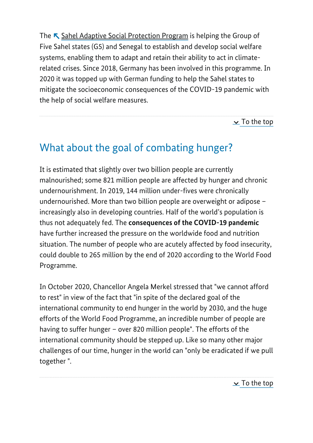The  $\blacktriangledown$  <u>Sahel Adaptive Social Protection Program</u> is helping the Group of Five Sahel states (G5) and Senegal to establish and develop social welfare systems, enabling them to adapt and retain their ability to act in climaterelated crises. Since 2018, Germany has been involved in this programme. In 2020 it was topped up with German funding to help the Sahel states to mitigate the socioeconomic consequences of the COVID-19 pandemic with the help of social welfare measures.

 $\mathbf{\underline{\times}}$  To the top

# <span id="page-5-0"></span>What about the goal of combating hunger?

It is estimated that slightly over two billion people are currently malnourished; some 821 million people are affected by hunger and chronic undernourishment. In 2019, 144 million under-fives were chronically undernourished. More than two billion people are overweight or adipose – increasingly also in developing countries. Half of the world's population is thus not adequately fed. The **consequences of the COVID-19 pandemic** have further increased the pressure on the worldwide food and nutrition situation. The number of people who are acutely affected by food insecurity, could double to 265 million by the end of 2020 according to the World Food Programme.

In October 2020, Chancellor Angela Merkel stressed that "we cannot afford to rest" in view of the fact that "in spite of the declared goal of the international community to end hunger in the world by 2030, and the huge efforts of the World Food Programme, an incredible number of people are having to suffer hunger – over 820 million people". The efforts of the international community should be stepped up. Like so many other major challenges of our time, hunger in the world can "only be eradicated if we pull together ".

 $\ge$  To the top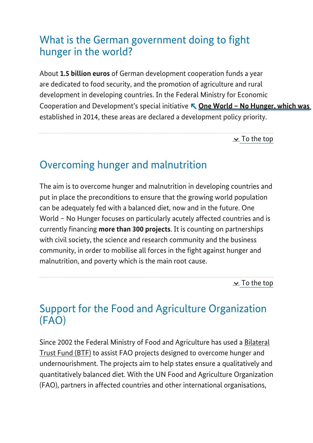### <span id="page-6-0"></span>What is the German government doing to fight hunger in the world?

About **1.5 billion euros** of German development cooperation funds a year are dedicated to food security, and the promotion of agriculture and rural development in developing countries. In the Federal Ministry for Economic Cooperation and Development's special initiative **[One World – No Hunger, which was](https://www.weltohnehunger.org/home.html)** established in 2014, these areas are declared a development policy priority.

 $\geq$  To the top

#### <span id="page-6-1"></span>Overcoming hunger and malnutrition

The aim is to overcome hunger and malnutrition in developing countries and put in place the preconditions to ensure that the growing world population can be adequately fed with a balanced diet, now and in the future. One World – No Hunger focuses on particularly acutely affected countries and is currently financing **more than 300 projects**. It is counting on partnerships with civil society, the science and research community and the business community, in order to mobilise all forces in the fight against hunger and malnutrition, and poverty which is the main root cause.

 $\ge$  To the top

### <span id="page-6-2"></span>Support for the Food and Agriculture Organization (FAO)

Since 2002 the Federal Ministry of Food and Agriculture has used a Bilateral Trust Fund (BTF) to assist FAO projects designed to overcome hunger and undernourishment. The projects aim to help states ensure a qualitatively and quantitatively balanced diet. With the UN Food and Agriculture Organization (FAO), partners in affected countries and other international organisations,